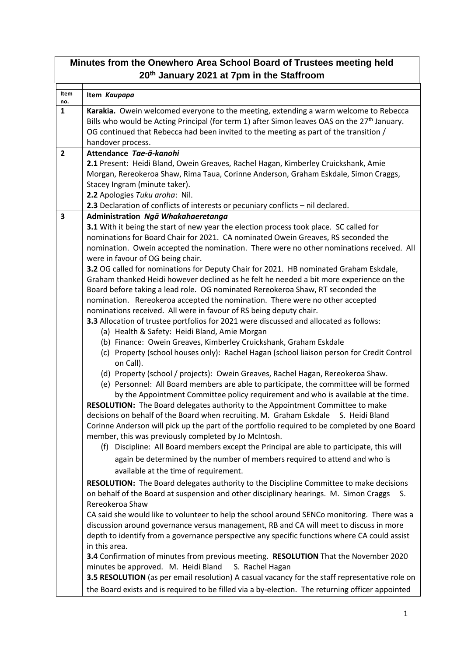| Minutes from the Onewhero Area School Board of Trustees meeting held<br>20th January 2021 at 7pm in the Staffroom                                                                                                                                                                                                                                                                                                                                                                                                                                                                                                                                                                                                                                                                                                                                                                                                                                                                                                                                                                                                                                                                                                                                                                                                                                                                                                                                                                                                                                                                                                                                                                                                                                                                                                                                                                                                                                                                                                                                                                                                                                                                                                                                                                                                                                                                                                                                                                                                                                                                                                                                        |    |  |
|----------------------------------------------------------------------------------------------------------------------------------------------------------------------------------------------------------------------------------------------------------------------------------------------------------------------------------------------------------------------------------------------------------------------------------------------------------------------------------------------------------------------------------------------------------------------------------------------------------------------------------------------------------------------------------------------------------------------------------------------------------------------------------------------------------------------------------------------------------------------------------------------------------------------------------------------------------------------------------------------------------------------------------------------------------------------------------------------------------------------------------------------------------------------------------------------------------------------------------------------------------------------------------------------------------------------------------------------------------------------------------------------------------------------------------------------------------------------------------------------------------------------------------------------------------------------------------------------------------------------------------------------------------------------------------------------------------------------------------------------------------------------------------------------------------------------------------------------------------------------------------------------------------------------------------------------------------------------------------------------------------------------------------------------------------------------------------------------------------------------------------------------------------------------------------------------------------------------------------------------------------------------------------------------------------------------------------------------------------------------------------------------------------------------------------------------------------------------------------------------------------------------------------------------------------------------------------------------------------------------------------------------------------|----|--|
| Item<br>Item Kaupapa<br>no.                                                                                                                                                                                                                                                                                                                                                                                                                                                                                                                                                                                                                                                                                                                                                                                                                                                                                                                                                                                                                                                                                                                                                                                                                                                                                                                                                                                                                                                                                                                                                                                                                                                                                                                                                                                                                                                                                                                                                                                                                                                                                                                                                                                                                                                                                                                                                                                                                                                                                                                                                                                                                              |    |  |
| $\mathbf{1}$<br>Karakia. Owein welcomed everyone to the meeting, extending a warm welcome to Rebecca<br>Bills who would be Acting Principal (for term 1) after Simon leaves OAS on the $27th$ January.<br>OG continued that Rebecca had been invited to the meeting as part of the transition /<br>handover process.                                                                                                                                                                                                                                                                                                                                                                                                                                                                                                                                                                                                                                                                                                                                                                                                                                                                                                                                                                                                                                                                                                                                                                                                                                                                                                                                                                                                                                                                                                                                                                                                                                                                                                                                                                                                                                                                                                                                                                                                                                                                                                                                                                                                                                                                                                                                     |    |  |
| $\overline{2}$<br>Attendance Tae-ā-kanohi<br>2.1 Present: Heidi Bland, Owein Greaves, Rachel Hagan, Kimberley Cruickshank, Amie<br>Morgan, Rereokeroa Shaw, Rima Taua, Corinne Anderson, Graham Eskdale, Simon Craggs,<br>Stacey Ingram (minute taker).<br>2.2 Apologies Tuku aroha: Nil.                                                                                                                                                                                                                                                                                                                                                                                                                                                                                                                                                                                                                                                                                                                                                                                                                                                                                                                                                                                                                                                                                                                                                                                                                                                                                                                                                                                                                                                                                                                                                                                                                                                                                                                                                                                                                                                                                                                                                                                                                                                                                                                                                                                                                                                                                                                                                                |    |  |
| 2.3 Declaration of conflicts of interests or pecuniary conflicts - nil declared.<br>$\overline{\mathbf{3}}$<br>Administration Ngā Whakahaeretanga<br>3.1 With it being the start of new year the election process took place. SC called for<br>nominations for Board Chair for 2021. CA nominated Owein Greaves, RS seconded the<br>nomination. Owein accepted the nomination. There were no other nominations received. All<br>were in favour of OG being chair.<br>3.2 OG called for nominations for Deputy Chair for 2021. HB nominated Graham Eskdale,<br>Graham thanked Heidi however declined as he felt he needed a bit more experience on the<br>Board before taking a lead role. OG nominated Rereokeroa Shaw, RT seconded the<br>nomination. Rereokeroa accepted the nomination. There were no other accepted<br>nominations received. All were in favour of RS being deputy chair.<br>3.3 Allocation of trustee portfolios for 2021 were discussed and allocated as follows:<br>(a) Health & Safety: Heidi Bland, Amie Morgan<br>(b) Finance: Owein Greaves, Kimberley Cruickshank, Graham Eskdale<br>(c) Property (school houses only): Rachel Hagan (school liaison person for Credit Control<br>on Call).<br>(d) Property (school / projects): Owein Greaves, Rachel Hagan, Rereokeroa Shaw.<br>(e) Personnel: All Board members are able to participate, the committee will be formed<br>by the Appointment Committee policy requirement and who is available at the time.<br>RESOLUTION: The Board delegates authority to the Appointment Committee to make<br>decisions on behalf of the Board when recruiting. M. Graham Eskdale S. Heidi Bland<br>Corinne Anderson will pick up the part of the portfolio required to be completed by one Board<br>member, this was previously completed by Jo McIntosh.<br>(f) Discipline: All Board members except the Principal are able to participate, this will<br>again be determined by the number of members required to attend and who is<br>available at the time of requirement.<br>RESOLUTION: The Board delegates authority to the Discipline Committee to make decisions<br>on behalf of the Board at suspension and other disciplinary hearings. M. Simon Craggs<br>Rereokeroa Shaw<br>CA said she would like to volunteer to help the school around SENCo monitoring. There was a<br>discussion around governance versus management, RB and CA will meet to discuss in more<br>depth to identify from a governance perspective any specific functions where CA could assist<br>in this area.<br>3.4 Confirmation of minutes from previous meeting. RESOLUTION That the November 2020 | S. |  |
| minutes be approved. M. Heidi Bland<br>S. Rachel Hagan<br>3.5 RESOLUTION (as per email resolution) A casual vacancy for the staff representative role on<br>the Board exists and is required to be filled via a by-election. The returning officer appointed                                                                                                                                                                                                                                                                                                                                                                                                                                                                                                                                                                                                                                                                                                                                                                                                                                                                                                                                                                                                                                                                                                                                                                                                                                                                                                                                                                                                                                                                                                                                                                                                                                                                                                                                                                                                                                                                                                                                                                                                                                                                                                                                                                                                                                                                                                                                                                                             |    |  |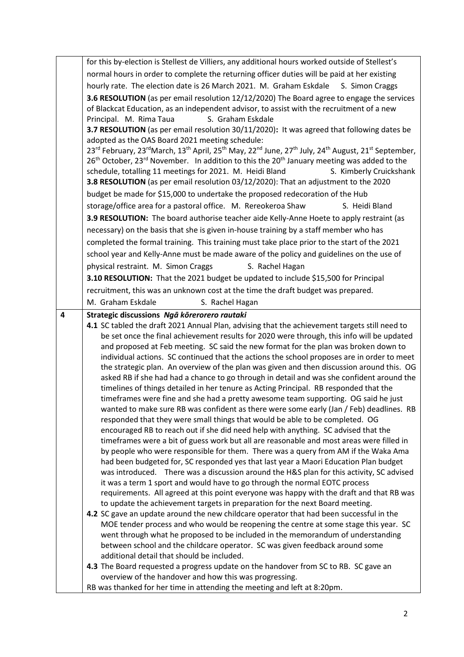|   | for this by-election is Stellest de Villiers, any additional hours worked outside of Stellest's                                                                               |
|---|-------------------------------------------------------------------------------------------------------------------------------------------------------------------------------|
|   | normal hours in order to complete the returning officer duties will be paid at her existing                                                                                   |
|   | hourly rate. The election date is 26 March 2021. M. Graham Eskdale S. Simon Craggs                                                                                            |
|   | 3.6 RESOLUTION (as per email resolution 12/12/2020) The Board agree to engage the services                                                                                    |
|   | of Blackcat Education, as an independent advisor, to assist with the recruitment of a new                                                                                     |
|   | S. Graham Eskdale<br>Principal. M. Rima Taua                                                                                                                                  |
|   | 3.7 RESOLUTION (as per email resolution 30/11/2020): It was agreed that following dates be                                                                                    |
|   | adopted as the OAS Board 2021 meeting schedule:<br>23rd February, 23rd March, 13th April, 25th May, 22nd June, 27th July, 24th August, 21st September,                        |
|   | 26 <sup>th</sup> October, 23 <sup>rd</sup> November. In addition to this the 20 <sup>th</sup> January meeting was added to the                                                |
|   | schedule, totalling 11 meetings for 2021. M. Heidi Bland<br>S. Kimberly Cruickshank                                                                                           |
|   | 3.8 RESOLUTION (as per email resolution 03/12/2020): That an adjustment to the 2020                                                                                           |
|   | budget be made for \$15,000 to undertake the proposed redecoration of the Hub                                                                                                 |
|   | storage/office area for a pastoral office. M. Rereokeroa Shaw<br>S. Heidi Bland                                                                                               |
|   | 3.9 RESOLUTION: The board authorise teacher aide Kelly-Anne Hoete to apply restraint (as                                                                                      |
|   | necessary) on the basis that she is given in-house training by a staff member who has                                                                                         |
|   | completed the formal training. This training must take place prior to the start of the 2021                                                                                   |
|   | school year and Kelly-Anne must be made aware of the policy and guidelines on the use of                                                                                      |
|   | physical restraint. M. Simon Craggs<br>S. Rachel Hagan                                                                                                                        |
|   | 3.10 RESOLUTION: That the 2021 budget be updated to include \$15,500 for Principal                                                                                            |
|   | recruitment, this was an unknown cost at the time the draft budget was prepared.                                                                                              |
|   | M. Graham Eskdale<br>S. Rachel Hagan                                                                                                                                          |
| 4 | Strategic discussions Ngā kōrerorero rautaki                                                                                                                                  |
|   | 4.1 SC tabled the draft 2021 Annual Plan, advising that the achievement targets still need to                                                                                 |
|   | be set once the final achievement results for 2020 were through, this info will be updated                                                                                    |
|   | and proposed at Feb meeting. SC said the new format for the plan was broken down to                                                                                           |
|   |                                                                                                                                                                               |
|   | individual actions. SC continued that the actions the school proposes are in order to meet                                                                                    |
|   | the strategic plan. An overview of the plan was given and then discussion around this. OG                                                                                     |
|   | asked RB if she had had a chance to go through in detail and was she confident around the                                                                                     |
|   | timelines of things detailed in her tenure as Acting Principal. RB responded that the                                                                                         |
|   | timeframes were fine and she had a pretty awesome team supporting. OG said he just<br>wanted to make sure RB was confident as there were some early (Jan / Feb) deadlines. RB |
|   | responded that they were small things that would be able to be completed. OG                                                                                                  |
|   | encouraged RB to reach out if she did need help with anything. SC advised that the                                                                                            |
|   | timeframes were a bit of guess work but all are reasonable and most areas were filled in                                                                                      |
|   | by people who were responsible for them. There was a query from AM if the Waka Ama                                                                                            |
|   | had been budgeted for, SC responded yes that last year a Maori Education Plan budget                                                                                          |
|   | was introduced. There was a discussion around the H&S plan for this activity, SC advised                                                                                      |
|   | it was a term 1 sport and would have to go through the normal EOTC process<br>requirements. All agreed at this point everyone was happy with the draft and that RB was        |
|   | to update the achievement targets in preparation for the next Board meeting.                                                                                                  |
|   | 4.2 SC gave an update around the new childcare operator that had been successful in the                                                                                       |
|   | MOE tender process and who would be reopening the centre at some stage this year. SC                                                                                          |
|   | went through what he proposed to be included in the memorandum of understanding                                                                                               |
|   | between school and the childcare operator. SC was given feedback around some                                                                                                  |
|   | additional detail that should be included.                                                                                                                                    |
|   | 4.3 The Board requested a progress update on the handover from SC to RB. SC gave an<br>overview of the handover and how this was progressing.                                 |